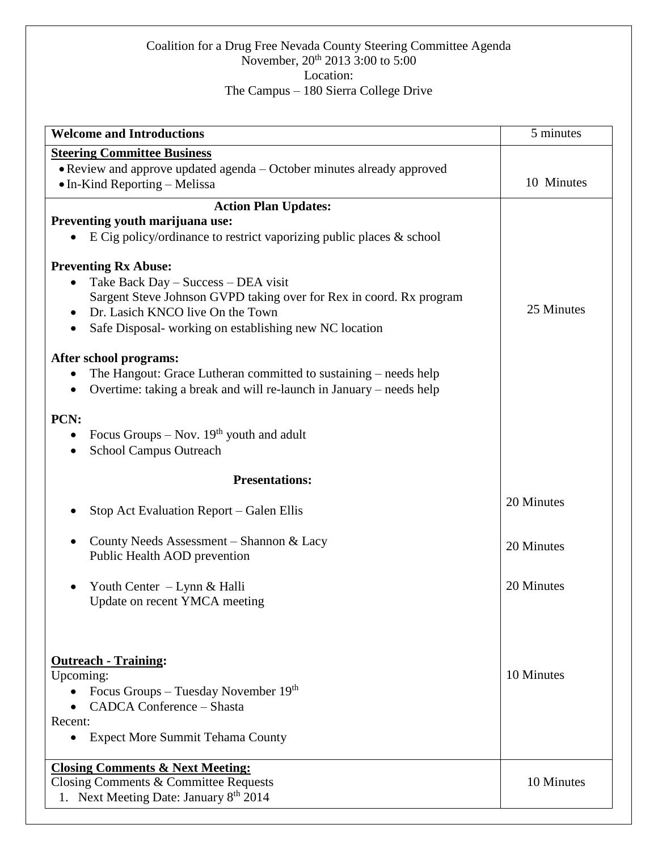## Coalition for a Drug Free Nevada County Steering Committee Agenda November, 20<sup>th</sup> 2013 3:00 to 5:00 Location: The Campus – 180 Sierra College Drive

| <b>Welcome and Introductions</b>                                                                                                                      | 5 minutes  |
|-------------------------------------------------------------------------------------------------------------------------------------------------------|------------|
| <b>Steering Committee Business</b><br>• Review and approve updated agenda - October minutes already approved<br>$\bullet$ In-Kind Reporting – Melissa | 10 Minutes |
| <b>Action Plan Updates:</b>                                                                                                                           |            |
| Preventing youth marijuana use:                                                                                                                       |            |
| E Cig policy/ordinance to restrict vaporizing public places $\&$ school<br>$\bullet$                                                                  |            |
|                                                                                                                                                       |            |
| <b>Preventing Rx Abuse:</b>                                                                                                                           |            |
| Take Back Day - Success - DEA visit<br>Sargent Steve Johnson GVPD taking over for Rex in coord. Rx program                                            |            |
| Dr. Lasich KNCO live On the Town<br>$\bullet$                                                                                                         | 25 Minutes |
| Safe Disposal-working on establishing new NC location<br>$\bullet$                                                                                    |            |
|                                                                                                                                                       |            |
| After school programs:                                                                                                                                |            |
| The Hangout: Grace Lutheran committed to sustaining – needs help                                                                                      |            |
| Overtime: taking a break and will re-launch in January – needs help                                                                                   |            |
|                                                                                                                                                       |            |
| PCN:                                                                                                                                                  |            |
| Focus Groups – Nov. $19th$ youth and adult<br>$\bullet$                                                                                               |            |
| <b>School Campus Outreach</b>                                                                                                                         |            |
| <b>Presentations:</b>                                                                                                                                 |            |
| Stop Act Evaluation Report – Galen Ellis                                                                                                              | 20 Minutes |
| County Needs Assessment - Shannon & Lacy                                                                                                              | 20 Minutes |
| Public Health AOD prevention                                                                                                                          |            |
| Youth Center – Lynn & Halli                                                                                                                           | 20 Minutes |
| Update on recent YMCA meeting                                                                                                                         |            |
|                                                                                                                                                       |            |
|                                                                                                                                                       |            |
| <b>Outreach - Training:</b>                                                                                                                           |            |
| Upcoming:                                                                                                                                             | 10 Minutes |
| Focus Groups – Tuesday November $19th$                                                                                                                |            |
| <b>CADCA Conference - Shasta</b>                                                                                                                      |            |
| Recent:                                                                                                                                               |            |
| <b>Expect More Summit Tehama County</b>                                                                                                               |            |
| <b>Closing Comments &amp; Next Meeting:</b>                                                                                                           |            |
| Closing Comments & Committee Requests                                                                                                                 | 10 Minutes |
| 1. Next Meeting Date: January 8 <sup>th</sup> 2014                                                                                                    |            |